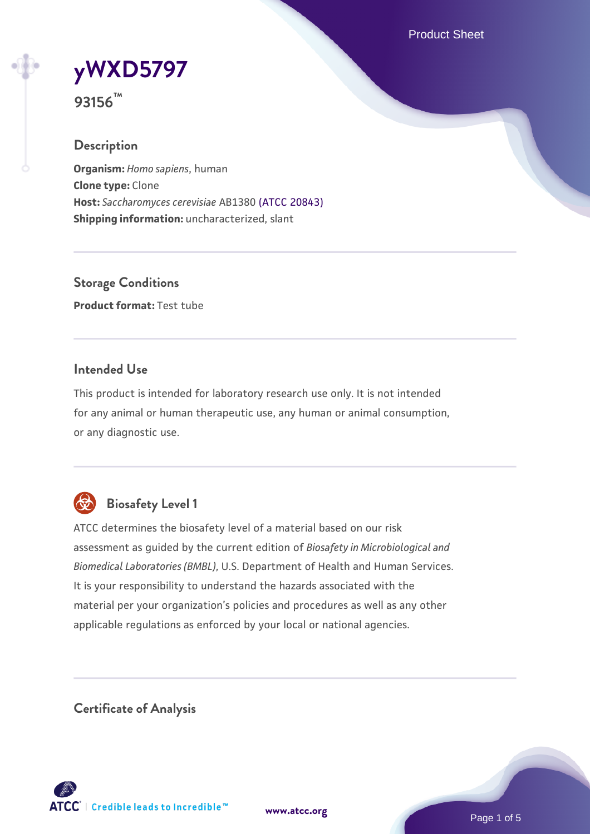Product Sheet



**93156™**

# **Description**

**Organism:** *Homo sapiens*, human **Clone type:** Clone **Host:** *Saccharomyces cerevisiae* AB1380 [\(ATCC 20843\)](https://www.atcc.org/products/20843) **Shipping information:** uncharacterized, slant

**Storage Conditions Product format:** Test tube

## **Intended Use**

This product is intended for laboratory research use only. It is not intended for any animal or human therapeutic use, any human or animal consumption, or any diagnostic use.



# **Biosafety Level 1**

ATCC determines the biosafety level of a material based on our risk assessment as guided by the current edition of *Biosafety in Microbiological and Biomedical Laboratories (BMBL)*, U.S. Department of Health and Human Services. It is your responsibility to understand the hazards associated with the material per your organization's policies and procedures as well as any other applicable regulations as enforced by your local or national agencies.

**Certificate of Analysis**

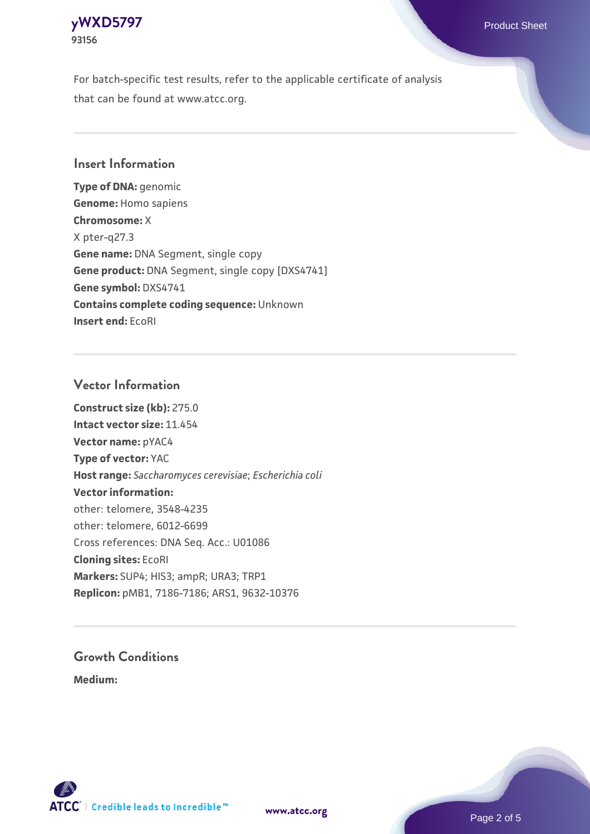

For batch-specific test results, refer to the applicable certificate of analysis that can be found at www.atcc.org.

### **Insert Information**

**Type of DNA:** genomic **Genome:** Homo sapiens **Chromosome:** X X pter-q27.3 **Gene name:** DNA Segment, single copy **Gene product:** DNA Segment, single copy [DXS4741] **Gene symbol:** DXS4741 **Contains complete coding sequence:** Unknown **Insert end:** EcoRI

#### **Vector Information**

**Construct size (kb):** 275.0 **Intact vector size:** 11.454 **Vector name:** pYAC4 **Type of vector:** YAC **Host range:** *Saccharomyces cerevisiae*; *Escherichia coli* **Vector information:** other: telomere, 3548-4235 other: telomere, 6012-6699 Cross references: DNA Seq. Acc.: U01086 **Cloning sites:** EcoRI **Markers:** SUP4; HIS3; ampR; URA3; TRP1 **Replicon:** pMB1, 7186-7186; ARS1, 9632-10376

# **Growth Conditions**

**Medium:** 



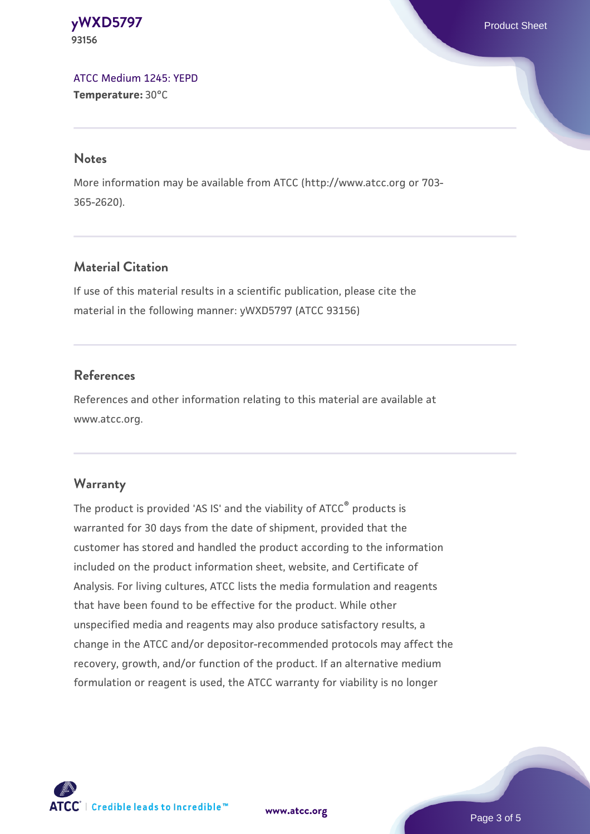**[yWXD5797](https://www.atcc.org/products/93156)** Product Sheet **93156**

[ATCC Medium 1245: YEPD](https://www.atcc.org/-/media/product-assets/documents/microbial-media-formulations/1/2/4/5/atcc-medium-1245.pdf?rev=705ca55d1b6f490a808a965d5c072196) **Temperature:** 30°C

#### **Notes**

More information may be available from ATCC (http://www.atcc.org or 703- 365-2620).

# **Material Citation**

If use of this material results in a scientific publication, please cite the material in the following manner: yWXD5797 (ATCC 93156)

## **References**

References and other information relating to this material are available at www.atcc.org.

#### **Warranty**

The product is provided 'AS IS' and the viability of ATCC® products is warranted for 30 days from the date of shipment, provided that the customer has stored and handled the product according to the information included on the product information sheet, website, and Certificate of Analysis. For living cultures, ATCC lists the media formulation and reagents that have been found to be effective for the product. While other unspecified media and reagents may also produce satisfactory results, a change in the ATCC and/or depositor-recommended protocols may affect the recovery, growth, and/or function of the product. If an alternative medium formulation or reagent is used, the ATCC warranty for viability is no longer



**[www.atcc.org](http://www.atcc.org)**

Page 3 of 5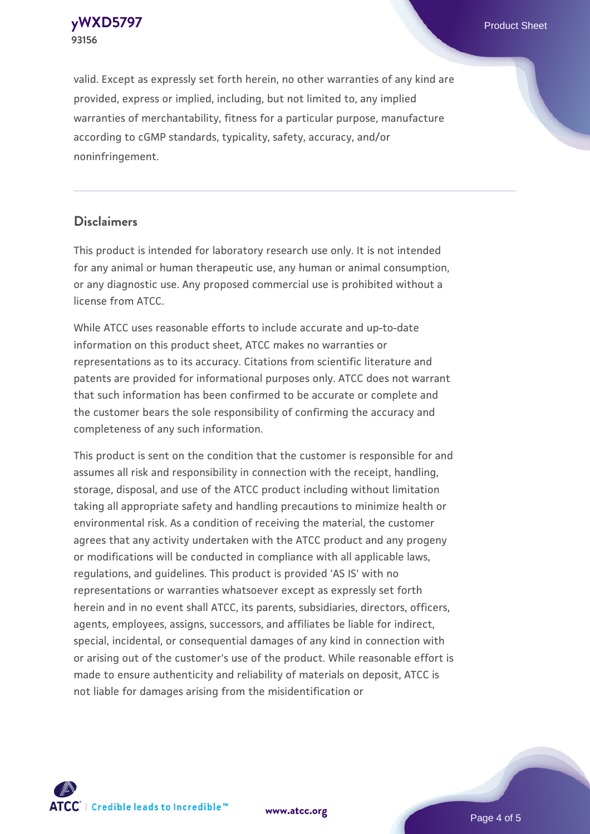**[yWXD5797](https://www.atcc.org/products/93156)** Product Sheet **93156**

valid. Except as expressly set forth herein, no other warranties of any kind are provided, express or implied, including, but not limited to, any implied warranties of merchantability, fitness for a particular purpose, manufacture according to cGMP standards, typicality, safety, accuracy, and/or noninfringement.

#### **Disclaimers**

This product is intended for laboratory research use only. It is not intended for any animal or human therapeutic use, any human or animal consumption, or any diagnostic use. Any proposed commercial use is prohibited without a license from ATCC.

While ATCC uses reasonable efforts to include accurate and up-to-date information on this product sheet, ATCC makes no warranties or representations as to its accuracy. Citations from scientific literature and patents are provided for informational purposes only. ATCC does not warrant that such information has been confirmed to be accurate or complete and the customer bears the sole responsibility of confirming the accuracy and completeness of any such information.

This product is sent on the condition that the customer is responsible for and assumes all risk and responsibility in connection with the receipt, handling, storage, disposal, and use of the ATCC product including without limitation taking all appropriate safety and handling precautions to minimize health or environmental risk. As a condition of receiving the material, the customer agrees that any activity undertaken with the ATCC product and any progeny or modifications will be conducted in compliance with all applicable laws, regulations, and guidelines. This product is provided 'AS IS' with no representations or warranties whatsoever except as expressly set forth herein and in no event shall ATCC, its parents, subsidiaries, directors, officers, agents, employees, assigns, successors, and affiliates be liable for indirect, special, incidental, or consequential damages of any kind in connection with or arising out of the customer's use of the product. While reasonable effort is made to ensure authenticity and reliability of materials on deposit, ATCC is not liable for damages arising from the misidentification or



**[www.atcc.org](http://www.atcc.org)**

Page 4 of 5